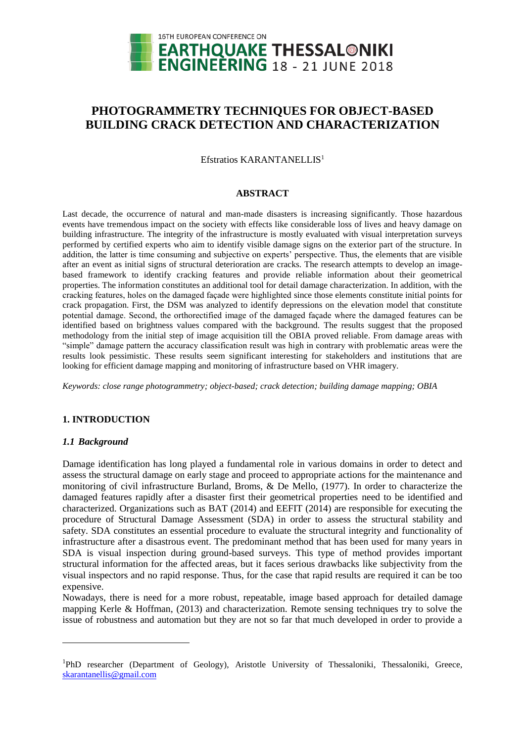

# **PHOTOGRAMMETRY TECHNIQUES FOR OBJECT-BASED BUILDING CRACK DETECTION AND CHARACTERIZATION**

Efstratios KARANTANELLIS<sup>1</sup>

#### **ABSTRACT**

Last decade, the occurrence of natural and man-made disasters is increasing significantly. Those hazardous events have tremendous impact on the society with effects like considerable loss of lives and heavy damage on building infrastructure. The integrity of the infrastructure is mostly evaluated with visual interpretation surveys performed by certified experts who aim to identify visible damage signs on the exterior part of the structure. In addition, the latter is time consuming and subjective on experts' perspective. Thus, the elements that are visible after an event as initial signs of structural deterioration are cracks. The research attempts to develop an imagebased framework to identify cracking features and provide reliable information about their geometrical properties. The information constitutes an additional tool for detail damage characterization. In addition, with the cracking features, holes on the damaged façade were highlighted since those elements constitute initial points for crack propagation. First, the DSM was analyzed to identify depressions on the elevation model that constitute potential damage. Second, the orthorectified image of the damaged façade where the damaged features can be identified based on brightness values compared with the background. The results suggest that the proposed methodology from the initial step of image acquisition till the OBIA proved reliable. From damage areas with "simple" damage pattern the accuracy classification result was high in contrary with problematic areas were the results look pessimistic. These results seem significant interesting for stakeholders and institutions that are looking for efficient damage mapping and monitoring of infrastructure based on VHR imagery.

*Keywords: close range photogrammetry; object-based; crack detection; building damage mapping; OBIA*

# **1. INTRODUCTION**

# *1.1 Background*

 $\overline{a}$ 

Damage identification has long played a fundamental role in various domains in order to detect and assess the structural damage on early stage and proceed to appropriate actions for the maintenance and monitoring of civil infrastructure Burland, Broms, & De Mello, (1977). In order to characterize the damaged features rapidly after a disaster first their geometrical properties need to be identified and characterized. Organizations such as BAT (2014) and EEFIT (2014) are responsible for executing the procedure of Structural Damage Assessment (SDA) in order to assess the structural stability and safety. SDA constitutes an essential procedure to evaluate the structural integrity and functionality of infrastructure after a disastrous event. The predominant method that has been used for many years in SDA is visual inspection during ground-based surveys. This type of method provides important structural information for the affected areas, but it faces serious drawbacks like subjectivity from the visual inspectors and no rapid response. Thus, for the case that rapid results are required it can be too expensive.

Nowadays, there is need for a more robust, repeatable, image based approach for detailed damage mapping Kerle & Hoffman, (2013) and characterization. Remote sensing techniques try to solve the issue of robustness and automation but they are not so far that much developed in order to provide a

<sup>1</sup>PhD researcher (Department of Geology), Aristotle University of Thessaloniki, Thessaloniki, Greece, [skarantanellis@g](mailto:skarantanellis@)mail.com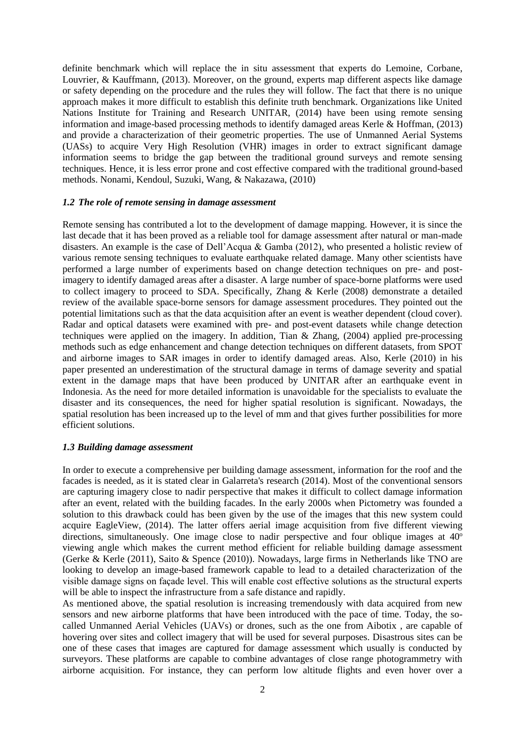definite benchmark which will replace the in situ assessment that experts do Lemoine, Corbane, Louvrier, & Kauffmann, (2013). Moreover, on the ground, experts map different aspects like damage or safety depending on the procedure and the rules they will follow. The fact that there is no unique approach makes it more difficult to establish this definite truth benchmark. Organizations like United Nations Institute for Training and Research UNITAR, (2014) have been using remote sensing information and image-based processing methods to identify damaged areas Kerle & Hoffman, (2013) and provide a characterization of their geometric properties. The use of Unmanned Aerial Systems (UASs) to acquire Very High Resolution (VHR) images in order to extract significant damage information seems to bridge the gap between the traditional ground surveys and remote sensing techniques. Hence, it is less error prone and cost effective compared with the traditional ground-based methods. Nonami, Kendoul, Suzuki, Wang, & Nakazawa, (2010)

# *1.2 The role of remote sensing in damage assessment*

Remote sensing has contributed a lot to the development of damage mapping. However, it is since the last decade that it has been proved as a reliable tool for damage assessment after natural or man-made disasters. An example is the case of Dell'Acqua & Gamba (2012), who presented a holistic review of various remote sensing techniques to evaluate earthquake related damage. Many other scientists have performed a large number of experiments based on change detection techniques on pre- and postimagery to identify damaged areas after a disaster. A large number of space-borne platforms were used to collect imagery to proceed to SDA. Specifically, Zhang & Kerle (2008) demonstrate a detailed review of the available space-borne sensors for damage assessment procedures. They pointed out the potential limitations such as that the data acquisition after an event is weather dependent (cloud cover). Radar and optical datasets were examined with pre- and post-event datasets while change detection techniques were applied on the imagery. In addition, Tian & Zhang, (2004) applied pre-processing methods such as edge enhancement and change detection techniques on different datasets, from SPOT and airborne images to SAR images in order to identify damaged areas. Also, Kerle (2010) in his paper presented an underestimation of the structural damage in terms of damage severity and spatial extent in the damage maps that have been produced by UNITAR after an earthquake event in Indonesia. As the need for more detailed information is unavoidable for the specialists to evaluate the disaster and its consequences, the need for higher spatial resolution is significant. Nowadays, the spatial resolution has been increased up to the level of mm and that gives further possibilities for more efficient solutions.

#### *1.3 Building damage assessment*

In order to execute a comprehensive per building damage assessment, information for the roof and the facades is needed, as it is stated clear in Galarreta's research (2014). Most of the conventional sensors are capturing imagery close to nadir perspective that makes it difficult to collect damage information after an event, related with the building facades. In the early 2000s when Pictometry was founded a solution to this drawback could has been given by the use of the images that this new system could acquire EagleView, (2014). The latter offers aerial image acquisition from five different viewing directions, simultaneously. One image close to nadir perspective and four oblique images at  $40^{\circ}$ viewing angle which makes the current method efficient for reliable building damage assessment (Gerke & Kerle (2011), Saito & Spence (2010)). Nowadays, large firms in Netherlands like TNO are looking to develop an image-based framework capable to lead to a detailed characterization of the visible damage signs on façade level. This will enable cost effective solutions as the structural experts will be able to inspect the infrastructure from a safe distance and rapidly.

As mentioned above, the spatial resolution is increasing tremendously with data acquired from new sensors and new airborne platforms that have been introduced with the pace of time. Today, the socalled Unmanned Aerial Vehicles (UAVs) or drones, such as the one from Aibotix , are capable of hovering over sites and collect imagery that will be used for several purposes. Disastrous sites can be one of these cases that images are captured for damage assessment which usually is conducted by surveyors. These platforms are capable to combine advantages of close range photogrammetry with airborne acquisition. For instance, they can perform low altitude flights and even hover over a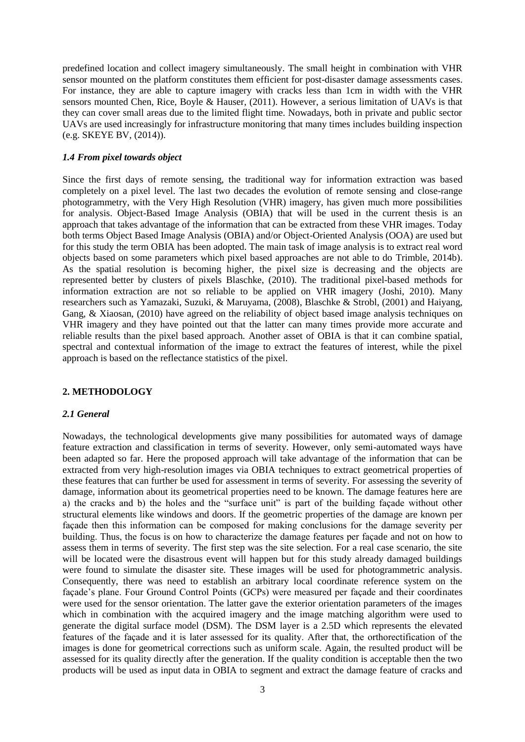predefined location and collect imagery simultaneously. The small height in combination with VHR sensor mounted on the platform constitutes them efficient for post-disaster damage assessments cases. For instance, they are able to capture imagery with cracks less than 1cm in width with the VHR sensors mounted Chen, Rice, Boyle & Hauser, (2011). However, a serious limitation of UAVs is that they can cover small areas due to the limited flight time. Nowadays, both in private and public sector UAVs are used increasingly for infrastructure monitoring that many times includes building inspection (e.g. SKEYE BV, (2014)).

#### *1.4 From pixel towards object*

Since the first days of remote sensing, the traditional way for information extraction was based completely on a pixel level. The last two decades the evolution of remote sensing and close-range photogrammetry, with the Very High Resolution (VHR) imagery, has given much more possibilities for analysis. Object-Based Image Analysis (OBIA) that will be used in the current thesis is an approach that takes advantage of the information that can be extracted from these VHR images. Today both terms Object Based Image Analysis (OBIA) and/or Object-Oriented Analysis (OOA) are used but for this study the term OBIA has been adopted. The main task of image analysis is to extract real word objects based on some parameters which pixel based approaches are not able to do Trimble, 2014b). As the spatial resolution is becoming higher, the pixel size is decreasing and the objects are represented better by clusters of pixels Blaschke, (2010). The traditional pixel-based methods for information extraction are not so reliable to be applied on VHR imagery (Joshi, 2010). Many researchers such as Yamazaki, Suzuki, & Maruyama, (2008), Blaschke & Strobl, (2001) and Haiyang, Gang, & Xiaosan, (2010) have agreed on the reliability of object based image analysis techniques on VHR imagery and they have pointed out that the latter can many times provide more accurate and reliable results than the pixel based approach. Another asset of OBIA is that it can combine spatial, spectral and contextual information of the image to extract the features of interest, while the pixel approach is based on the reflectance statistics of the pixel.

# **2. METHODOLOGY**

#### *2.1 General*

Nowadays, the technological developments give many possibilities for automated ways of damage feature extraction and classification in terms of severity. However, only semi-automated ways have been adapted so far. Here the proposed approach will take advantage of the information that can be extracted from very high-resolution images via OBIA techniques to extract geometrical properties of these features that can further be used for assessment in terms of severity. For assessing the severity of damage, information about its geometrical properties need to be known. The damage features here are a) the cracks and b) the holes and the "surface unit" is part of the building façade without other structural elements like windows and doors. If the geometric properties of the damage are known per façade then this information can be composed for making conclusions for the damage severity per building. Thus, the focus is on how to characterize the damage features per façade and not on how to assess them in terms of severity. The first step was the site selection. For a real case scenario, the site will be located were the disastrous event will happen but for this study already damaged buildings were found to simulate the disaster site. These images will be used for photogrammetric analysis. Consequently, there was need to establish an arbitrary local coordinate reference system on the façade's plane. Four Ground Control Points (GCPs) were measured per façade and their coordinates were used for the sensor orientation. The latter gave the exterior orientation parameters of the images which in combination with the acquired imagery and the image matching algorithm were used to generate the digital surface model (DSM). The DSM layer is a 2.5D which represents the elevated features of the façade and it is later assessed for its quality. After that, the orthorectification of the images is done for geometrical corrections such as uniform scale. Again, the resulted product will be assessed for its quality directly after the generation. If the quality condition is acceptable then the two products will be used as input data in OBIA to segment and extract the damage feature of cracks and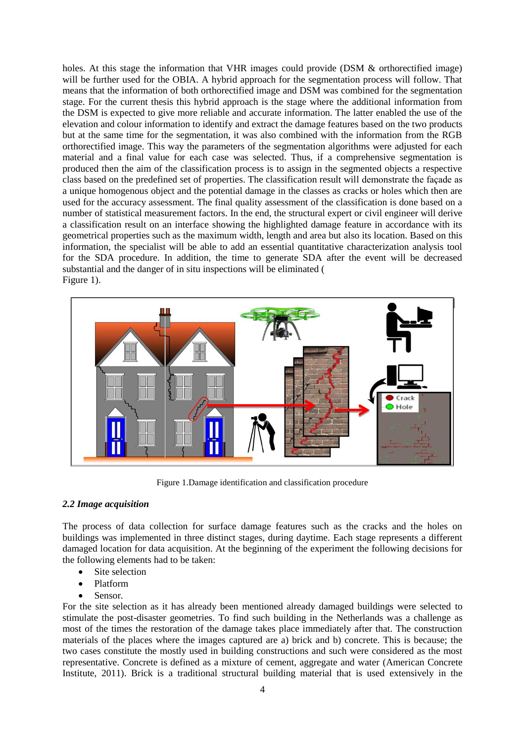holes. At this stage the information that VHR images could provide (DSM & orthorectified image) will be further used for the OBIA. A hybrid approach for the segmentation process will follow. That means that the information of both orthorectified image and DSM was combined for the segmentation stage. For the current thesis this hybrid approach is the stage where the additional information from the DSM is expected to give more reliable and accurate information. The latter enabled the use of the elevation and colour information to identify and extract the damage features based on the two products but at the same time for the segmentation, it was also combined with the information from the RGB orthorectified image. This way the parameters of the segmentation algorithms were adjusted for each material and a final value for each case was selected. Thus, if a comprehensive segmentation is produced then the aim of the classification process is to assign in the segmented objects a respective class based on the predefined set of properties. The classification result will demonstrate the façade as a unique homogenous object and the potential damage in the classes as cracks or holes which then are used for the accuracy assessment. The final quality assessment of the classification is done based on a number of statistical measurement factors. In the end, the structural expert or civil engineer will derive a classification result on an interface showing the highlighted damage feature in accordance with its geometrical properties such as the maximum width, length and area but also its location. Based on this information, the specialist will be able to add an essential quantitative characterization analysis tool for the SDA procedure. In addition, the time to generate SDA after the event will be decreased substantial and the danger of in situ inspections will be eliminated [\(](#page-3-0) [Figure](#page-3-0) 1).



Figure 1.Damage identification and classification procedure

# <span id="page-3-0"></span>*2.2 Image acquisition*

The process of data collection for surface damage features such as the cracks and the holes on buildings was implemented in three distinct stages, during daytime. Each stage represents a different damaged location for data acquisition. At the beginning of the experiment the following decisions for the following elements had to be taken:

- Site selection
- Platform
- Sensor.

For the site selection as it has already been mentioned already damaged buildings were selected to stimulate the post-disaster geometries. To find such building in the Netherlands was a challenge as most of the times the restoration of the damage takes place immediately after that. The construction materials of the places where the images captured are a) brick and b) concrete. This is because; the two cases constitute the mostly used in building constructions and such were considered as the most representative. Concrete is defined as a mixture of cement, aggregate and water (American Concrete Institute, 2011). Brick is a traditional structural building material that is used extensively in the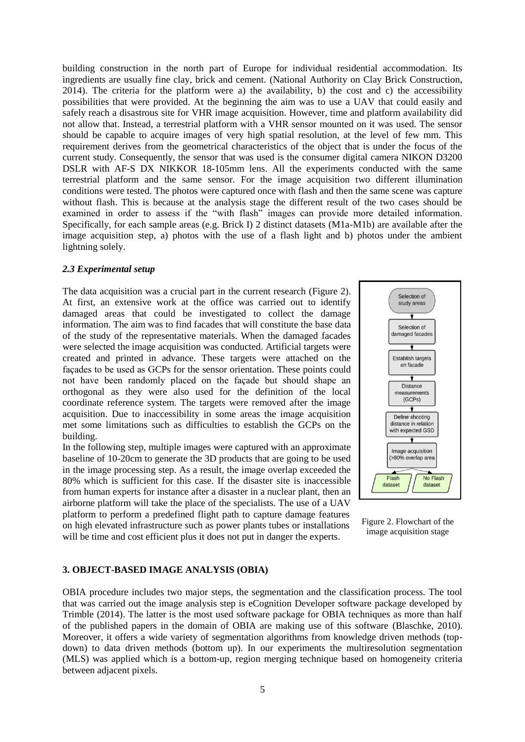building construction in the north part of Europe for individual residential accommodation. Its ingredients are usually fine clay, brick and cement. (National Authority on Clay Brick Construction, 2014). The criteria for the platform were a) the availability, b) the cost and c) the accessibility possibilities that were provided. At the beginning the aim was to use a UAV that could easily and safely reach a disastrous site for VHR image acquisition. However, time and platform availability did not allow that. Instead, a terrestrial platform with a VHR sensor mounted on it was used. The sensor should be capable to acquire images of very high spatial resolution, at the level of few mm. This requirement derives from the geometrical characteristics of the object that is under the focus of the current study. Consequently, the sensor that was used is the consumer digital camera NIKON D3200 DSLR with AF-S DX NIKKOR 18-105mm lens. All the experiments conducted with the same terrestrial platform and the same sensor. For the image acquisition two different illumination conditions were tested. The photos were captured once with flash and then the same scene was capture without flash. This is because at the analysis stage the different result of the two cases should be examined in order to assess if the "with flash" images can provide more detailed information. Specifically, for each sample areas (e.g. Brick I) 2 distinct datasets (M1a-M1b) are available after the image acquisition step, a) photos with the use of a flash light and b) photos under the ambient lightning solely.

#### *2.3 Experimental setup*

The data acquisition was a crucial part in the current research [\(Figure 2\)](#page-4-0). At first, an extensive work at the office was carried out to identify damaged areas that could be investigated to collect the damage information. The aim was to find facades that will constitute the base data of the study of the representative materials. When the damaged facades were selected the image acquisition was conducted. Artificial targets were created and printed in advance. These targets were attached on the façades to be used as GCPs for the sensor orientation. These points could not have been randomly placed on the façade but should shape an orthogonal as they were also used for the definition of the local coordinate reference system. The targets were removed after the image acquisition. Due to inaccessibility in some areas the image acquisition met some limitations such as difficulties to establish the GCPs on the building.

In the following step, multiple images were captured with an approximate baseline of 10-20cm to generate the 3D products that are going to be used in the image processing step. As a result, the image overlap exceeded the 80% which is sufficient for this case. If the disaster site is inaccessible from human experts for instance after a disaster in a nuclear plant, then an airborne platform will take the place of the specialists. The use of a UAV platform to perform a predefined flight path to capture damage features on high elevated infrastructure such as power plants tubes or installations will be time and cost efficient plus it does not put in danger the experts.



<span id="page-4-0"></span>Figure 2. Flowchart of the image acquisition stage

### **3. OBJECT-BASED IMAGE ANALYSIS (OBIA)**

OBIA procedure includes two major steps, the segmentation and the classification process. The tool that was carried out the image analysis step is eCognition Developer software package developed by Trimble (2014). The latter is the most used software package for OBIA techniques as more than half of the published papers in the domain of OBIA are making use of this software (Blaschke, 2010). Moreover, it offers a wide variety of segmentation algorithms from knowledge driven methods (topdown) to data driven methods (bottom up). In our experiments the multiresolution segmentation (MLS) was applied which is a bottom-up, region merging technique based on homogeneity criteria between adjacent pixels.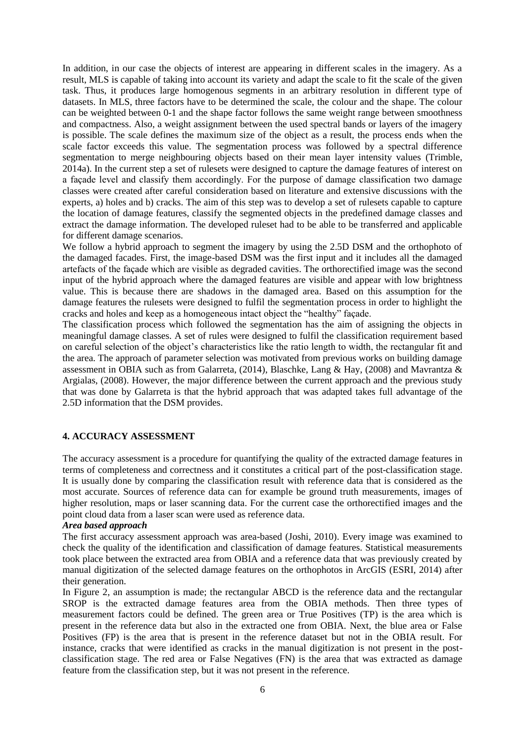In addition, in our case the objects of interest are appearing in different scales in the imagery. As a result, MLS is capable of taking into account its variety and adapt the scale to fit the scale of the given task. Thus, it produces large homogenous segments in an arbitrary resolution in different type of datasets. In MLS, three factors have to be determined the scale, the colour and the shape. The colour can be weighted between 0-1 and the shape factor follows the same weight range between smoothness and compactness. Also, a weight assignment between the used spectral bands or layers of the imagery is possible. The scale defines the maximum size of the object as a result, the process ends when the scale factor exceeds this value. The segmentation process was followed by a spectral difference segmentation to merge neighbouring objects based on their mean layer intensity values (Trimble, 2014a). In the current step a set of rulesets were designed to capture the damage features of interest on a façade level and classify them accordingly. For the purpose of damage classification two damage classes were created after careful consideration based on literature and extensive discussions with the experts, a) holes and b) cracks. The aim of this step was to develop a set of rulesets capable to capture the location of damage features, classify the segmented objects in the predefined damage classes and extract the damage information. The developed ruleset had to be able to be transferred and applicable for different damage scenarios.

We follow a hybrid approach to segment the imagery by using the 2.5D DSM and the orthophoto of the damaged facades. First, the image-based DSM was the first input and it includes all the damaged artefacts of the façade which are visible as degraded cavities. The orthorectified image was the second input of the hybrid approach where the damaged features are visible and appear with low brightness value. This is because there are shadows in the damaged area. Based on this assumption for the damage features the rulesets were designed to fulfil the segmentation process in order to highlight the cracks and holes and keep as a homogeneous intact object the "healthy" façade.

The classification process which followed the segmentation has the aim of assigning the objects in meaningful damage classes. A set of rules were designed to fulfil the classification requirement based on careful selection of the object's characteristics like the ratio length to width, the rectangular fit and the area. The approach of parameter selection was motivated from previous works on building damage assessment in OBIA such as from Galarreta, (2014), Blaschke, Lang & Hay, (2008) and Mavrantza & Argialas, (2008). However, the major difference between the current approach and the previous study that was done by Galarreta is that the hybrid approach that was adapted takes full advantage of the 2.5D information that the DSM provides.

# **4. ACCURACY ASSESSMENT**

The accuracy assessment is a procedure for quantifying the quality of the extracted damage features in terms of completeness and correctness and it constitutes a critical part of the post-classification stage. It is usually done by comparing the classification result with reference data that is considered as the most accurate. Sources of reference data can for example be ground truth measurements, images of higher resolution, maps or laser scanning data. For the current case the orthorectified images and the point cloud data from a laser scan were used as reference data.

# *Area based approach*

The first accuracy assessment approach was area-based (Joshi, 2010). Every image was examined to check the quality of the identification and classification of damage features. Statistical measurements took place between the extracted area from OBIA and a reference data that was previously created by manual digitization of the selected damage features on the orthophotos in ArcGIS (ESRI, 2014) after their generation.

In Figure 2, an assumption is made; the rectangular ABCD is the reference data and the rectangular SROP is the extracted damage features area from the OBIA methods. Then three types of measurement factors could be defined. The green area or True Positives (TP) is the area which is present in the reference data but also in the extracted one from OBIA. Next, the blue area or False Positives (FP) is the area that is present in the reference dataset but not in the OBIA result. For instance, cracks that were identified as cracks in the manual digitization is not present in the postclassification stage. The red area or False Negatives (FN) is the area that was extracted as damage feature from the classification step, but it was not present in the reference.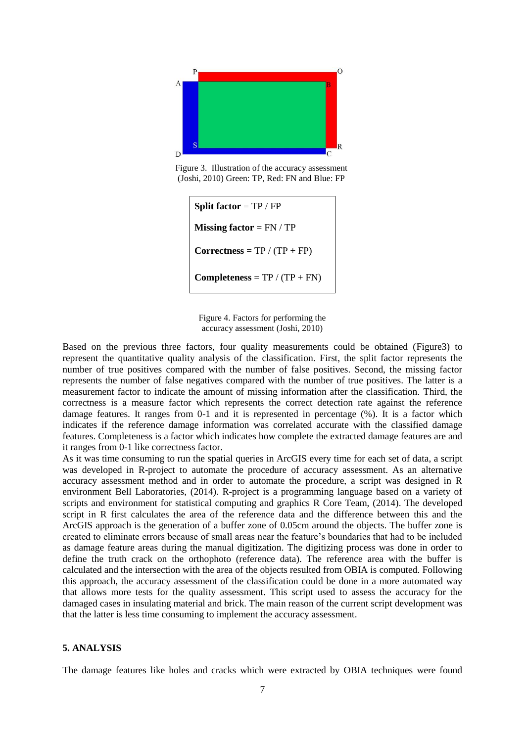

Figure 3. Illustration of the accuracy assessment (Joshi, 2010) Green: TP, Red: FN and Blue: FP

**Split factor** = TP / FP **Missing factor** = FN / TP  $Corrections = TP / (TP + FP)$ **Completeness** =  $TP / (TP + FN)$ 

<span id="page-6-0"></span>Figure 4. Factors for performing the accuracy assessment (Joshi, 2010)

Based on the previous three factors, four quality measurements could be obtained [\(Figure3](#page-6-0)) to represent the quantitative quality analysis of the classification. First, the split factor represents the number of true positives compared with the number of false positives. Second, the missing factor represents the number of false negatives compared with the number of true positives. The latter is a measurement factor to indicate the amount of missing information after the classification. Third, the correctness is a measure factor which represents the correct detection rate against the reference damage features. It ranges from 0-1 and it is represented in percentage (%). It is a factor which indicates if the reference damage information was correlated accurate with the classified damage features. Completeness is a factor which indicates how complete the extracted damage features are and it ranges from 0-1 like correctness factor.

As it was time consuming to run the spatial queries in ArcGIS every time for each set of data, a script was developed in R-project to automate the procedure of accuracy assessment. As an alternative accuracy assessment method and in order to automate the procedure, a script was designed in R environment Bell Laboratories, (2014). R-project is a programming language based on a variety of scripts and environment for statistical computing and graphics R Core Team, (2014). The developed script in R first calculates the area of the reference data and the difference between this and the ArcGIS approach is the generation of a buffer zone of 0.05cm around the objects. The buffer zone is created to eliminate errors because of small areas near the feature's boundaries that had to be included as damage feature areas during the manual digitization. The digitizing process was done in order to define the truth crack on the orthophoto (reference data). The reference area with the buffer is calculated and the intersection with the area of the objects resulted from OBIA is computed. Following this approach, the accuracy assessment of the classification could be done in a more automated way that allows more tests for the quality assessment. This script used to assess the accuracy for the damaged cases in insulating material and brick. The main reason of the current script development was that the latter is less time consuming to implement the accuracy assessment.

#### **5. ANALYSIS**

The damage features like holes and cracks which were extracted by OBIA techniques were found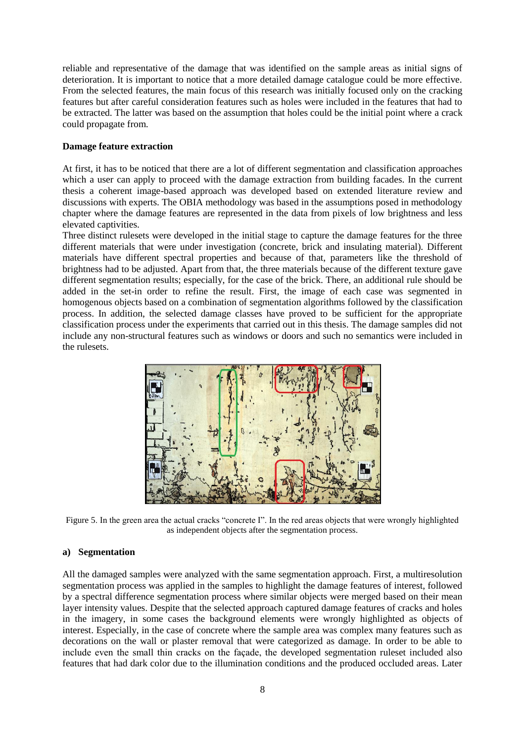reliable and representative of the damage that was identified on the sample areas as initial signs of deterioration. It is important to notice that a more detailed damage catalogue could be more effective. From the selected features, the main focus of this research was initially focused only on the cracking features but after careful consideration features such as holes were included in the features that had to be extracted. The latter was based on the assumption that holes could be the initial point where a crack could propagate from.

# **Damage feature extraction**

At first, it has to be noticed that there are a lot of different segmentation and classification approaches which a user can apply to proceed with the damage extraction from building facades. In the current thesis a coherent image-based approach was developed based on extended literature review and discussions with experts. The OBIA methodology was based in the assumptions posed in methodology chapter where the damage features are represented in the data from pixels of low brightness and less elevated captivities.

Three distinct rulesets were developed in the initial stage to capture the damage features for the three different materials that were under investigation (concrete, brick and insulating material). Different materials have different spectral properties and because of that, parameters like the threshold of brightness had to be adjusted. Apart from that, the three materials because of the different texture gave different segmentation results; especially, for the case of the brick. There, an additional rule should be added in the set-in order to refine the result. First, the image of each case was segmented in homogenous objects based on a combination of segmentation algorithms followed by the classification process. In addition, the selected damage classes have proved to be sufficient for the appropriate classification process under the experiments that carried out in this thesis. The damage samples did not include any non-structural features such as windows or doors and such no semantics were included in the rulesets.



Figure 5. In the green area the actual cracks "concrete I". In the red areas objects that were wrongly highlighted as independent objects after the segmentation process.

#### **a) Segmentation**

All the damaged samples were analyzed with the same segmentation approach. First, a multiresolution segmentation process was applied in the samples to highlight the damage features of interest, followed by a spectral difference segmentation process where similar objects were merged based on their mean layer intensity values. Despite that the selected approach captured damage features of cracks and holes in the imagery, in some cases the background elements were wrongly highlighted as objects of interest. Especially, in the case of concrete where the sample area was complex many features such as decorations on the wall or plaster removal that were categorized as damage. In order to be able to include even the small thin cracks on the façade, the developed segmentation ruleset included also features that had dark color due to the illumination conditions and the produced occluded areas. Later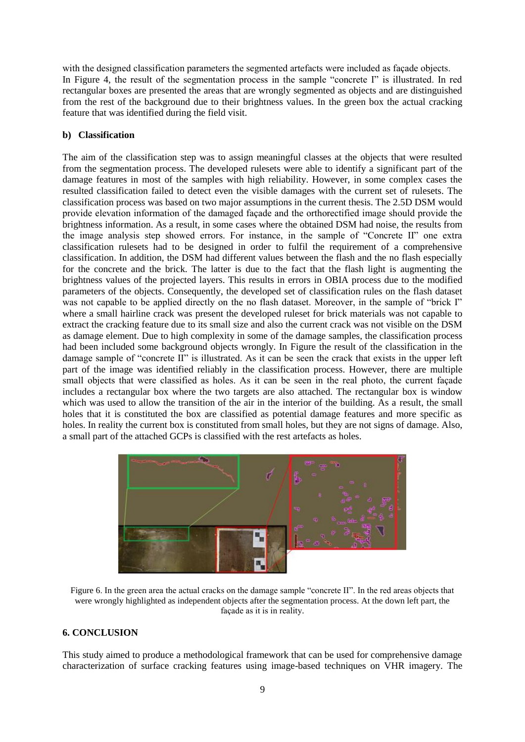with the designed classification parameters the segmented artefacts were included as façade objects. In Figure 4, the result of the segmentation process in the sample "concrete I" is illustrated. In red rectangular boxes are presented the areas that are wrongly segmented as objects and are distinguished from the rest of the background due to their brightness values. In the green box the actual cracking feature that was identified during the field visit.

# **b) Classification**

The aim of the classification step was to assign meaningful classes at the objects that were resulted from the segmentation process. The developed rulesets were able to identify a significant part of the damage features in most of the samples with high reliability. However, in some complex cases the resulted classification failed to detect even the visible damages with the current set of rulesets. The classification process was based on two major assumptions in the current thesis. The 2.5D DSM would provide elevation information of the damaged façade and the orthorectified image should provide the brightness information. As a result, in some cases where the obtained DSM had noise, the results from the image analysis step showed errors. For instance, in the sample of "Concrete II" one extra classification rulesets had to be designed in order to fulfil the requirement of a comprehensive classification. In addition, the DSM had different values between the flash and the no flash especially for the concrete and the brick. The latter is due to the fact that the flash light is augmenting the brightness values of the projected layers. This results in errors in OBIA process due to the modified parameters of the objects. Consequently, the developed set of classification rules on the flash dataset was not capable to be applied directly on the no flash dataset. Moreover, in the sample of "brick I" where a small hairline crack was present the developed ruleset for brick materials was not capable to extract the cracking feature due to its small size and also the current crack was not visible on the DSM as damage element. Due to high complexity in some of the damage samples, the classification process had been included some background objects wrongly. In [Figure](#page-8-0) the result of the classification in the damage sample of "concrete II" is illustrated. As it can be seen the crack that exists in the upper left part of the image was identified reliably in the classification process. However, there are multiple small objects that were classified as holes. As it can be seen in the real photo, the current façade includes a rectangular box where the two targets are also attached. The rectangular box is window which was used to allow the transition of the air in the interior of the building. As a result, the small holes that it is constituted the box are classified as potential damage features and more specific as holes. In reality the current box is constituted from small holes, but they are not signs of damage. Also, a small part of the attached GCPs is classified with the rest artefacts as holes.



Figure 6. In the green area the actual cracks on the damage sample "concrete II". In the red areas objects that were wrongly highlighted as independent objects after the segmentation process. At the down left part, the façade as it is in reality.

# <span id="page-8-0"></span>**6. CONCLUSION**

This study aimed to produce a methodological framework that can be used for comprehensive damage characterization of surface cracking features using image-based techniques on VHR imagery. The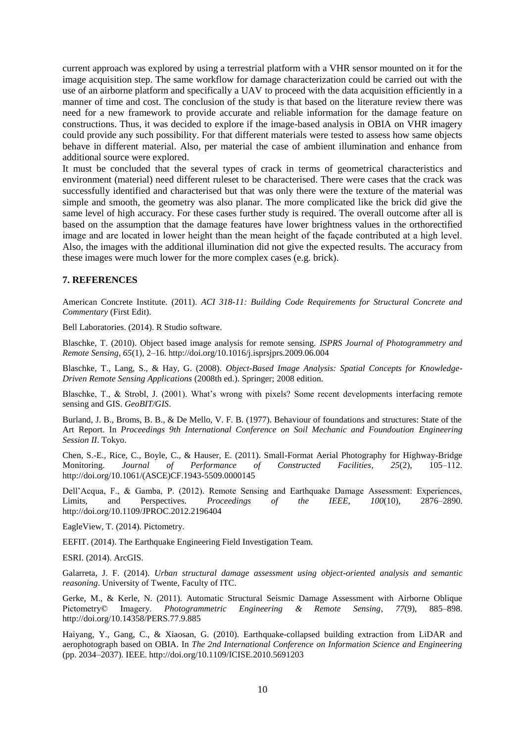current approach was explored by using a terrestrial platform with a VHR sensor mounted on it for the image acquisition step. The same workflow for damage characterization could be carried out with the use of an airborne platform and specifically a UAV to proceed with the data acquisition efficiently in a manner of time and cost. The conclusion of the study is that based on the literature review there was need for a new framework to provide accurate and reliable information for the damage feature on constructions. Thus, it was decided to explore if the image-based analysis in OBIA on VHR imagery could provide any such possibility. For that different materials were tested to assess how same objects behave in different material. Also, per material the case of ambient illumination and enhance from additional source were explored.

It must be concluded that the several types of crack in terms of geometrical characteristics and environment (material) need different ruleset to be characterised. There were cases that the crack was successfully identified and characterised but that was only there were the texture of the material was simple and smooth, the geometry was also planar. The more complicated like the brick did give the same level of high accuracy. For these cases further study is required. The overall outcome after all is based on the assumption that the damage features have lower brightness values in the orthorectified image and are located in lower height than the mean height of the façade contributed at a high level. Also, the images with the additional illumination did not give the expected results. The accuracy from these images were much lower for the more complex cases (e.g. brick).

# **7. REFERENCES**

American Concrete Institute. (2011). *ACI 318-11: Building Code Requirements for Structural Concrete and Commentary* (First Edit).

Bell Laboratories. (2014). R Studio software.

Blaschke, T. (2010). Object based image analysis for remote sensing. *ISPRS Journal of Photogrammetry and Remote Sensing*, *65*(1), 2–16. http://doi.org/10.1016/j.isprsjprs.2009.06.004

Blaschke, T., Lang, S., & Hay, G. (2008). *Object-Based Image Analysis: Spatial Concepts for Knowledge-Driven Remote Sensing Applications* (2008th ed.). Springer; 2008 edition.

Blaschke, T., & Strobl, J. (2001). What's wrong with pixels? Some recent developments interfacing remote sensing and GIS. *GeoBIT/GIS*.

Burland, J. B., Broms, B. B., & De Mello, V. F. B. (1977). Behaviour of foundations and structures: State of the Art Report. In *Proceedings 9th International Conference on Soil Mechanic and Foundoution Engineering Session II*. Tokyo.

Chen, S.-E., Rice, C., Boyle, C., & Hauser, E. (2011). Small-Format Aerial Photography for Highway-Bridge Monitoring. *Journal of Performance of Constructed Facilities*, *25*(2), 105–112. http://doi.org/10.1061/(ASCE)CF.1943-5509.0000145

Dell'Acqua, F., & Gamba, P. (2012). Remote Sensing and Earthquake Damage Assessment: Experiences, Limits, and Perspectives. *Proceedings of the IEEE*, *100*(10), 2876–2890. http://doi.org/10.1109/JPROC.2012.2196404

EagleView, T. (2014). Pictometry.

EEFIT. (2014). The Earthquake Engineering Field Investigation Team.

ESRI. (2014). ArcGIS.

Galarreta, J. F. (2014). *Urban structural damage assessment using object-oriented analysis and semantic reasoning*. University of Twente, Faculty of ITC.

Gerke, M., & Kerle, N. (2011). Automatic Structural Seismic Damage Assessment with Airborne Oblique Pictometry© Imagery. *Photogrammetric Engineering & Remote Sensing*, *77*(9), 885–898. http://doi.org/10.14358/PERS.77.9.885

Haiyang, Y., Gang, C., & Xiaosan, G. (2010). Earthquake-collapsed building extraction from LiDAR and aerophotograph based on OBIA. In *The 2nd International Conference on Information Science and Engineering* (pp. 2034–2037). IEEE. http://doi.org/10.1109/ICISE.2010.5691203